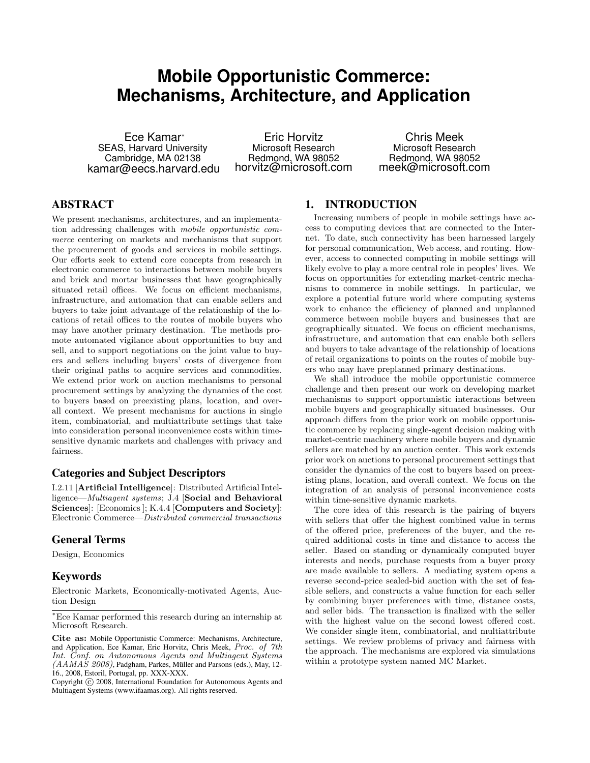# **Mobile Opportunistic Commerce: Mechanisms, Architecture, and Application**

Ece Kamar<sup>∗</sup> SEAS, Harvard University Cambridge, MA 02138 kamar@eecs.harvard.edu

Eric Horvitz Microsoft Research Redmond, WA 98052 horvitz@microsoft.com

Chris Meek Microsoft Research Redmond, WA 98052 meek@microsoft.com

# ABSTRACT

We present mechanisms, architectures, and an implementation addressing challenges with mobile opportunistic commerce centering on markets and mechanisms that support the procurement of goods and services in mobile settings. Our efforts seek to extend core concepts from research in electronic commerce to interactions between mobile buyers and brick and mortar businesses that have geographically situated retail offices. We focus on efficient mechanisms, infrastructure, and automation that can enable sellers and buyers to take joint advantage of the relationship of the locations of retail offices to the routes of mobile buyers who may have another primary destination. The methods promote automated vigilance about opportunities to buy and sell, and to support negotiations on the joint value to buyers and sellers including buyers' costs of divergence from their original paths to acquire services and commodities. We extend prior work on auction mechanisms to personal procurement settings by analyzing the dynamics of the cost to buyers based on preexisting plans, location, and overall context. We present mechanisms for auctions in single item, combinatorial, and multiattribute settings that take into consideration personal inconvenience costs within timesensitive dynamic markets and challenges with privacy and fairness.

### Categories and Subject Descriptors

I.2.11 [Artificial Intelligence]: Distributed Artificial Intelligence—Multiagent systems; J.4 [Social and Behavioral Sciences]: [Economics]; K.4.4 [Computers and Society]: Electronic Commerce—Distributed commercial transactions

## General Terms

Design, Economics

# Keywords

Electronic Markets, Economically-motivated Agents, Auction Design

# 1. INTRODUCTION

Increasing numbers of people in mobile settings have access to computing devices that are connected to the Internet. To date, such connectivity has been harnessed largely for personal communication, Web access, and routing. However, access to connected computing in mobile settings will likely evolve to play a more central role in peoples' lives. We focus on opportunities for extending market-centric mechanisms to commerce in mobile settings. In particular, we explore a potential future world where computing systems work to enhance the efficiency of planned and unplanned commerce between mobile buyers and businesses that are geographically situated. We focus on efficient mechanisms, infrastructure, and automation that can enable both sellers and buyers to take advantage of the relationship of locations of retail organizations to points on the routes of mobile buyers who may have preplanned primary destinations.

We shall introduce the mobile opportunistic commerce challenge and then present our work on developing market mechanisms to support opportunistic interactions between mobile buyers and geographically situated businesses. Our approach differs from the prior work on mobile opportunistic commerce by replacing single-agent decision making with market-centric machinery where mobile buyers and dynamic sellers are matched by an auction center. This work extends prior work on auctions to personal procurement settings that consider the dynamics of the cost to buyers based on preexisting plans, location, and overall context. We focus on the integration of an analysis of personal inconvenience costs within time-sensitive dynamic markets.

The core idea of this research is the pairing of buyers with sellers that offer the highest combined value in terms of the offered price, preferences of the buyer, and the required additional costs in time and distance to access the seller. Based on standing or dynamically computed buyer interests and needs, purchase requests from a buyer proxy are made available to sellers. A mediating system opens a reverse second-price sealed-bid auction with the set of feasible sellers, and constructs a value function for each seller by combining buyer preferences with time, distance costs, and seller bids. The transaction is finalized with the seller with the highest value on the second lowest offered cost. We consider single item, combinatorial, and multiattribute settings. We review problems of privacy and fairness with the approach. The mechanisms are explored via simulations within a prototype system named MC Market.

<sup>∗</sup>Ece Kamar performed this research during an internship at Microsoft Research.

Cite as: Mobile Opportunistic Commerce: Mechanisms, Architecture, and Application, Ece Kamar, Eric Horvitz, Chris Meek, Proc. of 7th Int. Conf. on Autonomous Agents and Multiagent Systems (AAMAS 2008), Padgham, Parkes, Müller and Parsons (eds.), May, 12- 16., 2008, Estoril, Portugal, pp. XXX-XXX.

Copyright (C) 2008, International Foundation for Autonomous Agents and Multiagent Systems (www.ifaamas.org). All rights reserved.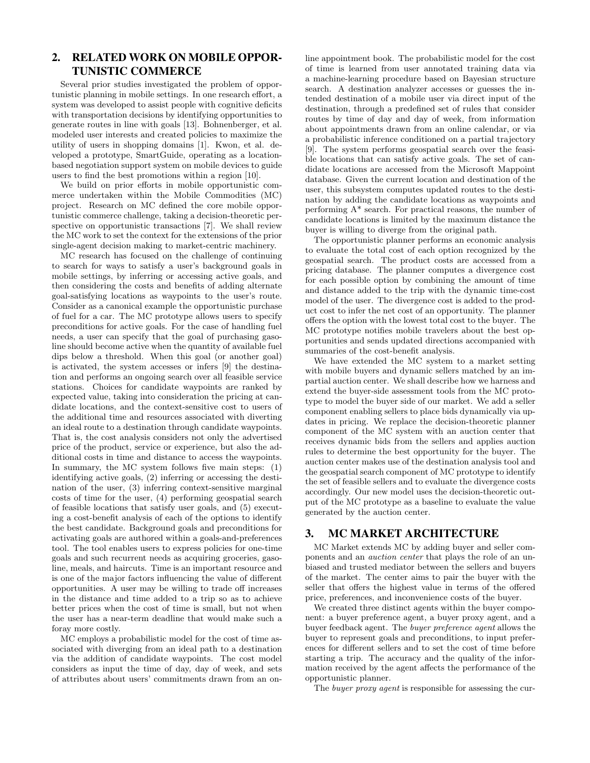# 2. RELATED WORK ON MOBILE OPPOR-TUNISTIC COMMERCE

Several prior studies investigated the problem of opportunistic planning in mobile settings. In one research effort, a system was developed to assist people with cognitive deficits with transportation decisions by identifying opportunities to generate routes in line with goals [13]. Bohnenberger, et al. modeled user interests and created policies to maximize the utility of users in shopping domains [1]. Kwon, et al. developed a prototype, SmartGuide, operating as a locationbased negotiation support system on mobile devices to guide users to find the best promotions within a region [10].

We build on prior efforts in mobile opportunistic commerce undertaken within the Mobile Commodities (MC) project. Research on MC defined the core mobile opportunistic commerce challenge, taking a decision-theoretic perspective on opportunistic transactions [7]. We shall review the MC work to set the context for the extensions of the prior single-agent decision making to market-centric machinery.

MC research has focused on the challenge of continuing to search for ways to satisfy a user's background goals in mobile settings, by inferring or accessing active goals, and then considering the costs and benefits of adding alternate goal-satisfying locations as waypoints to the user's route. Consider as a canonical example the opportunistic purchase of fuel for a car. The MC prototype allows users to specify preconditions for active goals. For the case of handling fuel needs, a user can specify that the goal of purchasing gasoline should become active when the quantity of available fuel dips below a threshold. When this goal (or another goal) is activated, the system accesses or infers [9] the destination and performs an ongoing search over all feasible service stations. Choices for candidate waypoints are ranked by expected value, taking into consideration the pricing at candidate locations, and the context-sensitive cost to users of the additional time and resources associated with diverting an ideal route to a destination through candidate waypoints. That is, the cost analysis considers not only the advertised price of the product, service or experience, but also the additional costs in time and distance to access the waypoints. In summary, the MC system follows five main steps: (1) identifying active goals, (2) inferring or accessing the destination of the user, (3) inferring context-sensitive marginal costs of time for the user, (4) performing geospatial search of feasible locations that satisfy user goals, and (5) executing a cost-benefit analysis of each of the options to identify the best candidate. Background goals and preconditions for activating goals are authored within a goals-and-preferences tool. The tool enables users to express policies for one-time goals and such recurrent needs as acquiring groceries, gasoline, meals, and haircuts. Time is an important resource and is one of the major factors influencing the value of different opportunities. A user may be willing to trade off increases in the distance and time added to a trip so as to achieve better prices when the cost of time is small, but not when the user has a near-term deadline that would make such a foray more costly.

MC employs a probabilistic model for the cost of time associated with diverging from an ideal path to a destination via the addition of candidate waypoints. The cost model considers as input the time of day, day of week, and sets of attributes about users' commitments drawn from an online appointment book. The probabilistic model for the cost of time is learned from user annotated training data via a machine-learning procedure based on Bayesian structure search. A destination analyzer accesses or guesses the intended destination of a mobile user via direct input of the destination, through a predefined set of rules that consider routes by time of day and day of week, from information about appointments drawn from an online calendar, or via a probabilistic inference conditioned on a partial trajectory [9]. The system performs geospatial search over the feasible locations that can satisfy active goals. The set of candidate locations are accessed from the Microsoft Mappoint database. Given the current location and destination of the user, this subsystem computes updated routes to the destination by adding the candidate locations as waypoints and performing A\* search. For practical reasons, the number of candidate locations is limited by the maximum distance the buyer is willing to diverge from the original path.

The opportunistic planner performs an economic analysis to evaluate the total cost of each option recognized by the geospatial search. The product costs are accessed from a pricing database. The planner computes a divergence cost for each possible option by combining the amount of time and distance added to the trip with the dynamic time-cost model of the user. The divergence cost is added to the product cost to infer the net cost of an opportunity. The planner offers the option with the lowest total cost to the buyer. The MC prototype notifies mobile travelers about the best opportunities and sends updated directions accompanied with summaries of the cost-benefit analysis.

We have extended the MC system to a market setting with mobile buyers and dynamic sellers matched by an impartial auction center. We shall describe how we harness and extend the buyer-side assessment tools from the MC prototype to model the buyer side of our market. We add a seller component enabling sellers to place bids dynamically via updates in pricing. We replace the decision-theoretic planner component of the MC system with an auction center that receives dynamic bids from the sellers and applies auction rules to determine the best opportunity for the buyer. The auction center makes use of the destination analysis tool and the geospatial search component of MC prototype to identify the set of feasible sellers and to evaluate the divergence costs accordingly. Our new model uses the decision-theoretic output of the MC prototype as a baseline to evaluate the value generated by the auction center.

## 3. MC MARKET ARCHITECTURE

MC Market extends MC by adding buyer and seller components and an auction center that plays the role of an unbiased and trusted mediator between the sellers and buyers of the market. The center aims to pair the buyer with the seller that offers the highest value in terms of the offered price, preferences, and inconvenience costs of the buyer.

We created three distinct agents within the buyer component: a buyer preference agent, a buyer proxy agent, and a buyer feedback agent. The buyer preference agent allows the buyer to represent goals and preconditions, to input preferences for different sellers and to set the cost of time before starting a trip. The accuracy and the quality of the information received by the agent affects the performance of the opportunistic planner.

The *buyer proxy agent* is responsible for assessing the cur-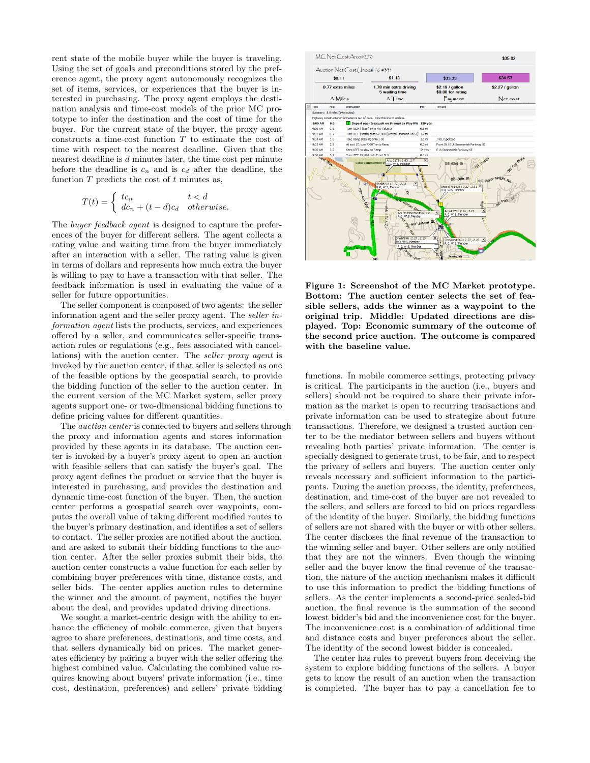rent state of the mobile buyer while the buyer is traveling. Using the set of goals and preconditions stored by the preference agent, the proxy agent autonomously recognizes the set of items, services, or experiences that the buyer is interested in purchasing. The proxy agent employs the destination analysis and time-cost models of the prior MC prototype to infer the destination and the cost of time for the buyer. For the current state of the buyer, the proxy agent constructs a time-cost function T to estimate the cost of time with respect to the nearest deadline. Given that the nearest deadline is d minutes later, the time cost per minute before the deadline is  $c_n$  and is  $c_d$  after the deadline, the function  $T$  predicts the cost of  $t$  minutes as,

$$
T(t) = \begin{cases} tc_n & t < d \\ dc_n + (t - d)c_d & otherwise. \end{cases}
$$

The buyer feedback agent is designed to capture the preferences of the buyer for different sellers. The agent collects a rating value and waiting time from the buyer immediately after an interaction with a seller. The rating value is given in terms of dollars and represents how much extra the buyer is willing to pay to have a transaction with that seller. The feedback information is used in evaluating the value of a seller for future opportunities.

The seller component is composed of two agents: the seller information agent and the seller proxy agent. The seller information agent lists the products, services, and experiences offered by a seller, and communicates seller-specific transaction rules or regulations (e.g., fees associated with cancellations) with the auction center. The seller proxy agent is invoked by the auction center, if that seller is selected as one of the feasible options by the geospatial search, to provide the bidding function of the seller to the auction center. In the current version of the MC Market system, seller proxy agents support one- or two-dimensional bidding functions to define pricing values for different quantities.

The *auction center* is connected to buyers and sellers through the proxy and information agents and stores information provided by these agents in its database. The auction center is invoked by a buyer's proxy agent to open an auction with feasible sellers that can satisfy the buyer's goal. The proxy agent defines the product or service that the buyer is interested in purchasing, and provides the destination and dynamic time-cost function of the buyer. Then, the auction center performs a geospatial search over waypoints, computes the overall value of taking different modified routes to the buyer's primary destination, and identifies a set of sellers to contact. The seller proxies are notified about the auction, and are asked to submit their bidding functions to the auction center. After the seller proxies submit their bids, the auction center constructs a value function for each seller by combining buyer preferences with time, distance costs, and seller bids. The center applies auction rules to determine the winner and the amount of payment, notifies the buyer about the deal, and provides updated driving directions.

We sought a market-centric design with the ability to enhance the efficiency of mobile commerce, given that buyers agree to share preferences, destinations, and time costs, and that sellers dynamically bid on prices. The market generates efficiency by pairing a buyer with the seller offering the highest combined value. Calculating the combined value requires knowing about buyers' private information (i.e., time cost, destination, preferences) and sellers' private bidding



Figure 1: Screenshot of the MC Market prototype. Bottom: The auction center selects the set of feasible sellers, adds the winner as a waypoint to the original trip. Middle: Updated directions are displayed. Top: Economic summary of the outcome of the second price auction. The outcome is compared with the baseline value.

functions. In mobile commerce settings, protecting privacy is critical. The participants in the auction (i.e., buyers and sellers) should not be required to share their private information as the market is open to recurring transactions and private information can be used to strategize about future transactions. Therefore, we designed a trusted auction center to be the mediator between sellers and buyers without revealing both parties' private information. The center is specially designed to generate trust, to be fair, and to respect the privacy of sellers and buyers. The auction center only reveals necessary and sufficient information to the participants. During the auction process, the identity, preferences, destination, and time-cost of the buyer are not revealed to the sellers, and sellers are forced to bid on prices regardless of the identity of the buyer. Similarly, the bidding functions of sellers are not shared with the buyer or with other sellers. The center discloses the final revenue of the transaction to the winning seller and buyer. Other sellers are only notified that they are not the winners. Even though the winning seller and the buyer know the final revenue of the transaction, the nature of the auction mechanism makes it difficult to use this information to predict the bidding functions of sellers. As the center implements a second-price sealed-bid auction, the final revenue is the summation of the second lowest bidder's bid and the inconvenience cost for the buyer. The inconvenience cost is a combination of additional time and distance costs and buyer preferences about the seller. The identity of the second lowest bidder is concealed.

The center has rules to prevent buyers from deceiving the system to explore bidding functions of the sellers. A buyer gets to know the result of an auction when the transaction is completed. The buyer has to pay a cancellation fee to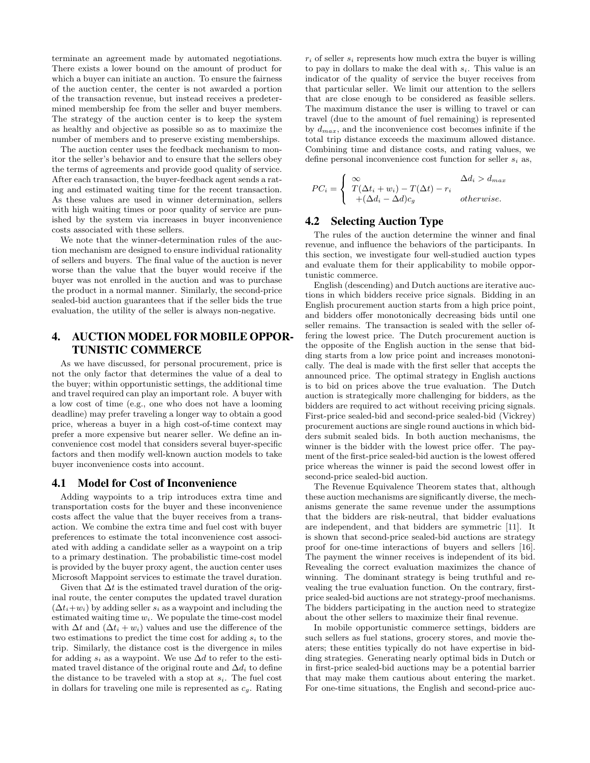terminate an agreement made by automated negotiations. There exists a lower bound on the amount of product for which a buyer can initiate an auction. To ensure the fairness of the auction center, the center is not awarded a portion of the transaction revenue, but instead receives a predetermined membership fee from the seller and buyer members. The strategy of the auction center is to keep the system as healthy and objective as possible so as to maximize the number of members and to preserve existing memberships.

The auction center uses the feedback mechanism to monitor the seller's behavior and to ensure that the sellers obey the terms of agreements and provide good quality of service. After each transaction, the buyer-feedback agent sends a rating and estimated waiting time for the recent transaction. As these values are used in winner determination, sellers with high waiting times or poor quality of service are punished by the system via increases in buyer inconvenience costs associated with these sellers.

We note that the winner-determination rules of the auction mechanism are designed to ensure individual rationality of sellers and buyers. The final value of the auction is never worse than the value that the buyer would receive if the buyer was not enrolled in the auction and was to purchase the product in a normal manner. Similarly, the second-price sealed-bid auction guarantees that if the seller bids the true evaluation, the utility of the seller is always non-negative.

# 4. AUCTION MODEL FOR MOBILE OPPOR-TUNISTIC COMMERCE

As we have discussed, for personal procurement, price is not the only factor that determines the value of a deal to the buyer; within opportunistic settings, the additional time and travel required can play an important role. A buyer with a low cost of time (e.g., one who does not have a looming deadline) may prefer traveling a longer way to obtain a good price, whereas a buyer in a high cost-of-time context may prefer a more expensive but nearer seller. We define an inconvenience cost model that considers several buyer-specific factors and then modify well-known auction models to take buyer inconvenience costs into account.

#### 4.1 Model for Cost of Inconvenience

Adding waypoints to a trip introduces extra time and transportation costs for the buyer and these inconvenience costs affect the value that the buyer receives from a transaction. We combine the extra time and fuel cost with buyer preferences to estimate the total inconvenience cost associated with adding a candidate seller as a waypoint on a trip to a primary destination. The probabilistic time-cost model is provided by the buyer proxy agent, the auction center uses Microsoft Mappoint services to estimate the travel duration.

Given that  $\Delta t$  is the estimated travel duration of the original route, the center computes the updated travel duration  $(\Delta t_i+w_i)$  by adding seller  $s_i$  as a waypoint and including the estimated waiting time  $w_i$ . We populate the time-cost model with  $\Delta t$  and  $(\Delta t_i + w_i)$  values and use the difference of the two estimations to predict the time cost for adding  $s_i$  to the trip. Similarly, the distance cost is the divergence in miles for adding  $s_i$  as a waypoint. We use  $\Delta d$  to refer to the estimated travel distance of the original route and  $\Delta d_i$  to define the distance to be traveled with a stop at  $s_i$ . The fuel cost in dollars for traveling one mile is represented as  $c<sub>g</sub>$ . Rating  $r_i$  of seller  $s_i$  represents how much extra the buyer is willing to pay in dollars to make the deal with  $s_i$ . This value is an indicator of the quality of service the buyer receives from that particular seller. We limit our attention to the sellers that are close enough to be considered as feasible sellers. The maximum distance the user is willing to travel or can travel (due to the amount of fuel remaining) is represented by  $d_{max}$ , and the inconvenience cost becomes infinite if the total trip distance exceeds the maximum allowed distance. Combining time and distance costs, and rating values, we define personal inconvenience cost function for seller  $s_i$  as,

$$
PC_i = \begin{cases} \infty & \Delta d_i > d_{max} \\ T(\Delta t_i + w_i) - T(\Delta t) - r_i & \text{otherwise.} \\ +(\Delta d_i - \Delta d)c_g & \text{otherwise.} \end{cases}
$$

# 4.2 Selecting Auction Type

The rules of the auction determine the winner and final revenue, and influence the behaviors of the participants. In this section, we investigate four well-studied auction types and evaluate them for their applicability to mobile opportunistic commerce.

English (descending) and Dutch auctions are iterative auctions in which bidders receive price signals. Bidding in an English procurement auction starts from a high price point, and bidders offer monotonically decreasing bids until one seller remains. The transaction is sealed with the seller offering the lowest price. The Dutch procurement auction is the opposite of the English auction in the sense that bidding starts from a low price point and increases monotonically. The deal is made with the first seller that accepts the announced price. The optimal strategy in English auctions is to bid on prices above the true evaluation. The Dutch auction is strategically more challenging for bidders, as the bidders are required to act without receiving pricing signals. First-price sealed-bid and second-price sealed-bid (Vickrey) procurement auctions are single round auctions in which bidders submit sealed bids. In both auction mechanisms, the winner is the bidder with the lowest price offer. The payment of the first-price sealed-bid auction is the lowest offered price whereas the winner is paid the second lowest offer in second-price sealed-bid auction.

The Revenue Equivalence Theorem states that, although these auction mechanisms are significantly diverse, the mechanisms generate the same revenue under the assumptions that the bidders are risk-neutral, that bidder evaluations are independent, and that bidders are symmetric [11]. It is shown that second-price sealed-bid auctions are strategy proof for one-time interactions of buyers and sellers [16]. The payment the winner receives is independent of its bid. Revealing the correct evaluation maximizes the chance of winning. The dominant strategy is being truthful and revealing the true evaluation function. On the contrary, firstprice sealed-bid auctions are not strategy-proof mechanisms. The bidders participating in the auction need to strategize about the other sellers to maximize their final revenue.

In mobile opportunistic commerce settings, bidders are such sellers as fuel stations, grocery stores, and movie theaters; these entities typically do not have expertise in bidding strategies. Generating nearly optimal bids in Dutch or in first-price sealed-bid auctions may be a potential barrier that may make them cautious about entering the market. For one-time situations, the English and second-price auc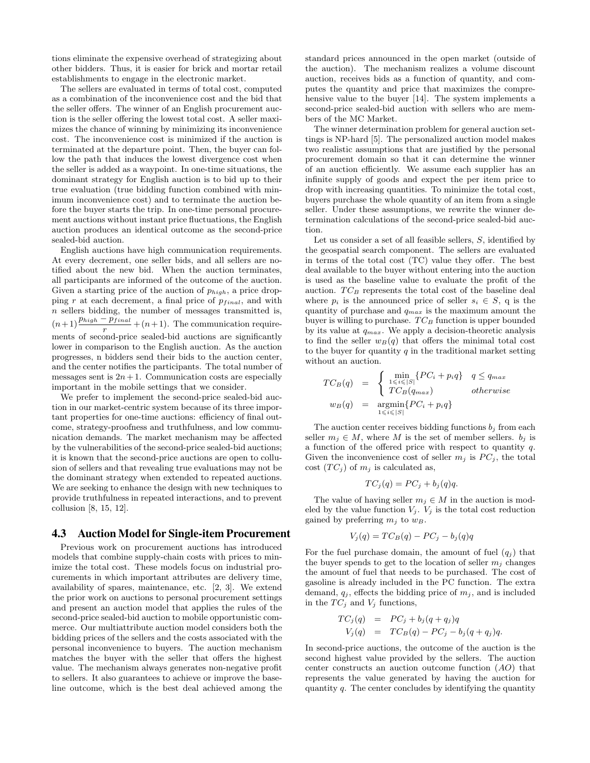tions eliminate the expensive overhead of strategizing about other bidders. Thus, it is easier for brick and mortar retail establishments to engage in the electronic market.

The sellers are evaluated in terms of total cost, computed as a combination of the inconvenience cost and the bid that the seller offers. The winner of an English procurement auction is the seller offering the lowest total cost. A seller maximizes the chance of winning by minimizing its inconvenience cost. The inconvenience cost is minimized if the auction is terminated at the departure point. Then, the buyer can follow the path that induces the lowest divergence cost when the seller is added as a waypoint. In one-time situations, the dominant strategy for English auction is to bid up to their true evaluation (true bidding function combined with minimum inconvenience cost) and to terminate the auction before the buyer starts the trip. In one-time personal procurement auctions without instant price fluctuations, the English auction produces an identical outcome as the second-price sealed-bid auction.

English auctions have high communication requirements. At every decrement, one seller bids, and all sellers are notified about the new bid. When the auction terminates, all participants are informed of the outcome of the auction. Given a starting price of the auction of  $p_{high}$ , a price dropping  $r$  at each decrement, a final price of  $p_{final}$ , and with  $n$  sellers bidding, the number of messages transmitted is,  $(n+1)\frac{p_{high} - p_{final}}{r} + (n+1)$ . The communication requirements of second-price sealed-bid auctions are significantly lower in comparison to the English auction. As the auction progresses, n bidders send their bids to the auction center, and the center notifies the participants. The total number of messages sent is  $2n + 1$ . Communication costs are especially important in the mobile settings that we consider.

We prefer to implement the second-price sealed-bid auction in our market-centric system because of its three important properties for one-time auctions: efficiency of final outcome, strategy-proofness and truthfulness, and low communication demands. The market mechanism may be affected by the vulnerabilities of the second-price sealed-bid auctions; it is known that the second-price auctions are open to collusion of sellers and that revealing true evaluations may not be the dominant strategy when extended to repeated auctions. We are seeking to enhance the design with new techniques to provide truthfulness in repeated interactions, and to prevent collusion [8, 15, 12].

#### 4.3 Auction Model for Single-item Procurement

Previous work on procurement auctions has introduced models that combine supply-chain costs with prices to minimize the total cost. These models focus on industrial procurements in which important attributes are delivery time, availability of spares, maintenance, etc. [2, 3]. We extend the prior work on auctions to personal procurement settings and present an auction model that applies the rules of the second-price sealed-bid auction to mobile opportunistic commerce. Our multiattribute auction model considers both the bidding prices of the sellers and the costs associated with the personal inconvenience to buyers. The auction mechanism matches the buyer with the seller that offers the highest value. The mechanism always generates non-negative profit to sellers. It also guarantees to achieve or improve the baseline outcome, which is the best deal achieved among the standard prices announced in the open market (outside of the auction). The mechanism realizes a volume discount auction, receives bids as a function of quantity, and computes the quantity and price that maximizes the comprehensive value to the buyer [14]. The system implements a second-price sealed-bid auction with sellers who are members of the MC Market.

The winner determination problem for general auction settings is NP-hard [5]. The personalized auction model makes two realistic assumptions that are justified by the personal procurement domain so that it can determine the winner of an auction efficiently. We assume each supplier has an infinite supply of goods and expect the per item price to drop with increasing quantities. To minimize the total cost, buyers purchase the whole quantity of an item from a single seller. Under these assumptions, we rewrite the winner determination calculations of the second-price sealed-bid auction.

Let us consider a set of all feasible sellers, S, identified by the geospatial search component. The sellers are evaluated in terms of the total cost (TC) value they offer. The best deal available to the buyer without entering into the auction is used as the baseline value to evaluate the profit of the auction.  $TC_B$  represents the total cost of the baseline deal where  $p_i$  is the announced price of seller  $s_i \in S$ , q is the quantity of purchase and  $q_{max}$  is the maximum amount the buyer is willing to purchase.  $TC_B$  function is upper bounded by its value at  $q_{max}$ . We apply a decision-theoretic analysis to find the seller  $w_B(q)$  that offers the minimal total cost to the buyer for quantity  $q$  in the traditional market setting without an auction.

$$
TC_B(q) = \begin{cases} \min_{1 \le i \le |S|} \{ PC_i + p_i q \} & q \le q_{max} \\ TC_B(q_{max}) & otherwise \end{cases}
$$
  

$$
w_B(q) = \operatorname*{argmin}_{1 \le i \le |S|} \{ PC_i + p_i q \}
$$

The auction center receives bidding functions  $b_i$  from each seller  $m_i \in M$ , where M is the set of member sellers.  $b_i$  is a function of the offered price with respect to quantity q. Given the inconvenience cost of seller  $m_i$  is  $PC_i$ , the total cost  $(T C_i)$  of  $m_i$  is calculated as,

$$
TC_j(q) = PC_j + b_j(q)q.
$$

The value of having seller  $m_j \in M$  in the auction is modeled by the value function  $V_i$ .  $V_j$  is the total cost reduction gained by preferring  $m_j$  to  $w_B$ .

$$
V_j(q) = TC_B(q) - PC_j - b_j(q)q
$$

For the fuel purchase domain, the amount of fuel  $(q_i)$  that the buyer spends to get to the location of seller  $m_i$  changes the amount of fuel that needs to be purchased. The cost of gasoline is already included in the PC function. The extra demand,  $q_i$ , effects the bidding price of  $m_i$ , and is included in the  $TC_i$  and  $V_i$  functions,

$$
TC_j(q) = PC_j + b_j(q+q_j)q
$$
  
\n
$$
V_j(q) = TC_B(q) - PC_j - b_j(q+q_j)q.
$$

In second-price auctions, the outcome of the auction is the second highest value provided by the sellers. The auction center constructs an auction outcome function  $(AO)$  that represents the value generated by having the auction for quantity  $q$ . The center concludes by identifying the quantity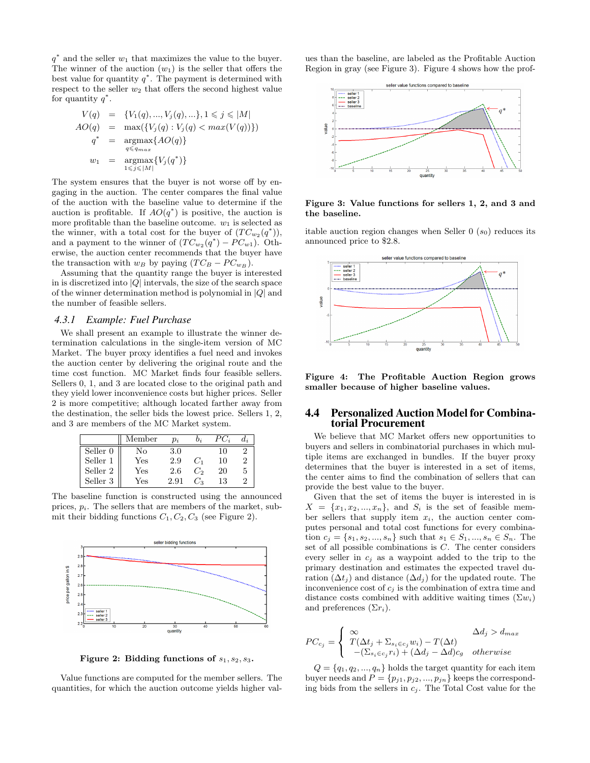$q^*$  and the seller  $w_1$  that maximizes the value to the buyer. The winner of the auction  $(w_1)$  is the seller that offers the best value for quantity  $q^*$ . The payment is determined with respect to the seller  $w_2$  that offers the second highest value for quantity  $q^*$ .

$$
V(q) = \{V_1(q), ..., V_j(q), ...\}, 1 \le j \le |M|
$$
  
\n
$$
AO(q) = \max(\{V_j(q) : V_j(q) < max(V(q))\})
$$
  
\n
$$
q^* = \underset{q \le q_{max}}{\operatorname{argmax}} \{AO(q)\}
$$
  
\n
$$
w_1 = \underset{1 \le j \le |M|}{\operatorname{argmax}} \{V_j(q^*)\}
$$

The system ensures that the buyer is not worse off by engaging in the auction. The center compares the final value of the auction with the baseline value to determine if the auction is profitable. If  $AO(q^*)$  is positive, the auction is more profitable than the baseline outcome.  $w_1$  is selected as the winner, with a total cost for the buyer of  $(T C_{w_2}(q^*)),$ and a payment to the winner of  $(T C_{w_2}(q^*) - P C_{w_1})$ . Otherwise, the auction center recommends that the buyer have the transaction with  $w_B$  by paying  $(T C_B - P C_{w_B})$ .

Assuming that the quantity range the buyer is interested in is discretized into  $|Q|$  intervals, the size of the search space of the winner determination method is polynomial in  $|Q|$  and the number of feasible sellers.

#### *4.3.1 Example: Fuel Purchase*

We shall present an example to illustrate the winner determination calculations in the single-item version of MC Market. The buyer proxy identifies a fuel need and invokes the auction center by delivering the original route and the time cost function. MC Market finds four feasible sellers. Sellers 0, 1, and 3 are located close to the original path and they yield lower inconvenience costs but higher prices. Seller 2 is more competitive; although located farther away from the destination, the seller bids the lowest price. Sellers 1, 2, and 3 are members of the MC Market system.

|                     | Member               | $p_i$ |       | PU; | $d_{\cdot i}$ |
|---------------------|----------------------|-------|-------|-----|---------------|
| Seller <sub>0</sub> | Nο                   | 3.0   |       | 10  |               |
| Seller 1            | $\operatorname{Yes}$ | 2.9   | $C_1$ | 10  |               |
| Seller 2            | Yes                  | 2.6   | C,    | 20  | 5             |
| Seller 3            | Yes                  | 2.91  | € /   | 13  |               |

The baseline function is constructed using the announced prices,  $p_i$ . The sellers that are members of the market, submit their bidding functions  $C_1, C_2, C_3$  (see Figure 2).



Figure 2: Bidding functions of  $s_1, s_2, s_3$ .

Value functions are computed for the member sellers. The quantities, for which the auction outcome yields higher values than the baseline, are labeled as the Profitable Auction Region in gray (see Figure 3). Figure 4 shows how the prof-



Figure 3: Value functions for sellers 1, 2, and 3 and the baseline.

itable auction region changes when Seller  $0(s_0)$  reduces its announced price to \$2.8.



Figure 4: The Profitable Auction Region grows smaller because of higher baseline values.

### 4.4 Personalized Auction Model for Combinatorial Procurement

We believe that MC Market offers new opportunities to buyers and sellers in combinatorial purchases in which multiple items are exchanged in bundles. If the buyer proxy determines that the buyer is interested in a set of items, the center aims to find the combination of sellers that can provide the best value to the buyer.

Given that the set of items the buyer is interested in is  $X = \{x_1, x_2, ..., x_n\}$ , and  $S_i$  is the set of feasible member sellers that supply item  $x_i$ , the auction center computes personal and total cost functions for every combination  $c_j = \{s_1, s_2, ..., s_n\}$  such that  $s_1 \in S_1, ..., s_n \in S_n$ . The set of all possible combinations is C. The center considers every seller in  $c_j$  as a waypoint added to the trip to the primary destination and estimates the expected travel duration  $(\Delta t_j)$  and distance  $(\Delta d_j)$  for the updated route. The inconvenience cost of  $c_j$  is the combination of extra time and distance costs combined with additive waiting times  $(\Sigma w_i)$ and preferences  $(\Sigma r_i)$ .

$$
PC_{c_j} = \begin{cases} \infty & \Delta d_j > d_{max} \\ T(\Delta t_j + \Sigma_{s_i \in c_j} w_i) - T(\Delta t) \\ -( \Sigma_{s_i \in c_j} r_i) + (\Delta d_j - \Delta d) c_g & otherwise \end{cases}
$$

 $Q = \{q_1, q_2, ..., q_n\}$  holds the target quantity for each item buyer needs and  $P = \{p_{j1}, p_{j2}, ..., p_{jn}\}\)$  keeps the corresponding bids from the sellers in  $c_j$ . The Total Cost value for the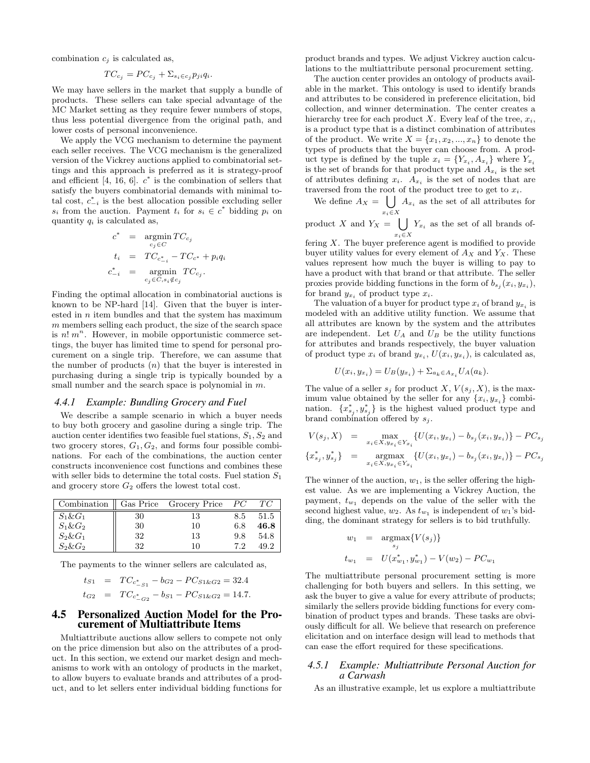combination  $c_i$  is calculated as,

$$
TC_{c_j} = PC_{c_j} + \sum_{s_i \in c_j} p_{ji} q_i.
$$

We may have sellers in the market that supply a bundle of products. These sellers can take special advantage of the MC Market setting as they require fewer numbers of stops, thus less potential divergence from the original path, and lower costs of personal inconvenience.

We apply the VCG mechanism to determine the payment each seller receives. The VCG mechanism is the generalized version of the Vickrey auctions applied to combinatorial settings and this approach is preferred as it is strategy-proof and efficient [4, 16, 6].  $c^*$  is the combination of sellers that satisfy the buyers combinatorial demands with minimal total cost,  $c_{-i}^*$  is the best allocation possible excluding seller  $s_i$  from the auction. Payment  $t_i$  for  $s_i \in c^*$  bidding  $p_i$  on quantity  $q_i$  is calculated as,

$$
\begin{array}{rcl} c^* & = & \mathop{\rm argmin}_{c_j \in C} TC_{c_j} \\ t_i & = & TC_{c_{-i}^*} - TC_{c^*} + p_i q_i \\ c_{-i}^* & = & \mathop{\rm argmin}_{c_j \in C, s_i \notin c_j} TC_{c_j}. \end{array}
$$

Finding the optimal allocation in combinatorial auctions is known to be NP-hard [14]. Given that the buyer is interested in  $n$  item bundles and that the system has maximum m members selling each product, the size of the search space is  $n! m^n$ . However, in mobile opportunistic commerce settings, the buyer has limited time to spend for personal procurement on a single trip. Therefore, we can assume that the number of products  $(n)$  that the buyer is interested in purchasing during a single trip is typically bounded by a small number and the search space is polynomial in  $m$ .

#### *4.4.1 Example: Bundling Grocery and Fuel*

We describe a sample scenario in which a buyer needs to buy both grocery and gasoline during a single trip. The auction center identifies two feasible fuel stations,  $S_1, S_2$  and two grocery stores,  $G_1, G_2$ , and forms four possible combinations. For each of the combinations, the auction center constructs inconvenience cost functions and combines these with seller bids to determine the total costs. Fuel station  $S_1$ and grocery store  $G_2$  offers the lowest total cost.

| Combination  |    | Gas Price Grocery Price | РC  | TС   |
|--------------|----|-------------------------|-----|------|
| $S_1 \& G_1$ | 30 | 13                      | 8.5 | 51.5 |
| $S_1 \& G_2$ | 30 | 10                      | 6.8 | 46.8 |
| $S_2\&G_1$   | 32 | 13                      | 9.8 | 54.8 |
| $S_2\&G_2$   | 32 | 10                      | 7.2 | 49.2 |

The payments to the winner sellers are calculated as,

$$
t_{S1} = TC_{c_{-S1}^*} - b_{G2} - PC_{S1\&G2} = 32.4
$$
  

$$
t_{G2} = TC_{c_{-G2}^*} - b_{S1} - PC_{S1\&G2} = 14.7.
$$

#### 4.5 Personalized Auction Model for the Procurement of Multiattribute Items

Multiattribute auctions allow sellers to compete not only on the price dimension but also on the attributes of a product. In this section, we extend our market design and mechanisms to work with an ontology of products in the market, to allow buyers to evaluate brands and attributes of a product, and to let sellers enter individual bidding functions for product brands and types. We adjust Vickrey auction calculations to the multiattribute personal procurement setting.

The auction center provides an ontology of products available in the market. This ontology is used to identify brands and attributes to be considered in preference elicitation, bid collection, and winner determination. The center creates a hierarchy tree for each product X. Every leaf of the tree,  $x_i$ , is a product type that is a distinct combination of attributes of the product. We write  $X = \{x_1, x_2, ..., x_n\}$  to denote the types of products that the buyer can choose from. A product type is defined by the tuple  $x_i = \{Y_{x_i}, A_{x_i}\}\$  where  $Y_{x_i}$ is the set of brands for that product type and  $A_{x_i}$  is the set of attributes defining  $x_i$ .  $A_{x_i}$  is the set of nodes that are traversed from the root of the product tree to get to  $x_i$ .

We define  $A_X = \begin{pmatrix} \end{pmatrix}$  $x_i \in X$  $A_{x_i}$  as the set of all attributes for

product X and  $Y_X = \begin{bmatrix} \end{bmatrix}$  $x_i \in X$  $Y_{x_i}$  as the set of all brands of-

fering  $X$ . The buyer preference agent is modified to provide buyer utility values for every element of  $A_X$  and  $Y_X$ . These values represent how much the buyer is willing to pay to have a product with that brand or that attribute. The seller proxies provide bidding functions in the form of  $b_{s_j}(x_i, y_{x_i})$ , for brand  $y_{x_i}$  of product type  $x_i$ .

The valuation of a buyer for product type  $x_i$  of brand  $y_{x_i}$  is modeled with an additive utility function. We assume that all attributes are known by the system and the attributes are independent. Let  $U_A$  and  $U_B$  be the utility functions for attributes and brands respectively, the buyer valuation of product type  $x_i$  of brand  $y_{x_i}$ ,  $U(x_i, y_{x_i})$ , is calculated as,

$$
U(x_i, y_{x_i}) = U_B(y_{x_i}) + \sum_{a_k \in A_{x_i}} U_A(a_k).
$$

The value of a seller  $s_j$  for product X,  $V(s_j, X)$ , is the maximum value obtained by the seller for any  $\{x_i, y_{x_i}\}\$ combination.  $\{x_{s_j}^*, y_{s_j}^*\}$  is the highest valued product type and brand combination offered by  $s_j$ .

$$
V(s_j, X) = \max_{x_i \in X, y_{x_i} \in Y_{x_i}} \{ U(x_i, y_{x_i}) - b_{s_j}(x_i, y_{x_i}) \} - PC_{s_j}
$$
  

$$
\{x_{s_j}^*, y_{s_j}^*\} = \operatorname*{argmax}_{x_i \in X, y_{x_i} \in Y_{x_i}} \{ U(x_i, y_{x_i}) - b_{s_j}(x_i, y_{x_i}) \} - PC_{s_j}
$$

The winner of the auction,  $w_1$ , is the seller offering the highest value. As we are implementing a Vickrey Auction, the payment,  $t_{w_1}$  depends on the value of the seller with the second highest value,  $w_2$ . As  $t_{w_1}$  is independent of  $w_1$ 's bidding, the dominant strategy for sellers is to bid truthfully.

$$
w_1 = \underset{s_j}{\operatorname{argmax}} \{ V(s_j) \}
$$
  

$$
t_{w_1} = U(x_{w_1}^*, y_{w_1}^*) - V(w_2) - PC_{w_1}
$$

The multiattribute personal procurement setting is more challenging for both buyers and sellers. In this setting, we ask the buyer to give a value for every attribute of products; similarly the sellers provide bidding functions for every combination of product types and brands. These tasks are obviously difficult for all. We believe that research on preference elicitation and on interface design will lead to methods that can ease the effort required for these specifications.

#### *4.5.1 Example: Multiattribute Personal Auction for a Carwash*

As an illustrative example, let us explore a multiattribute